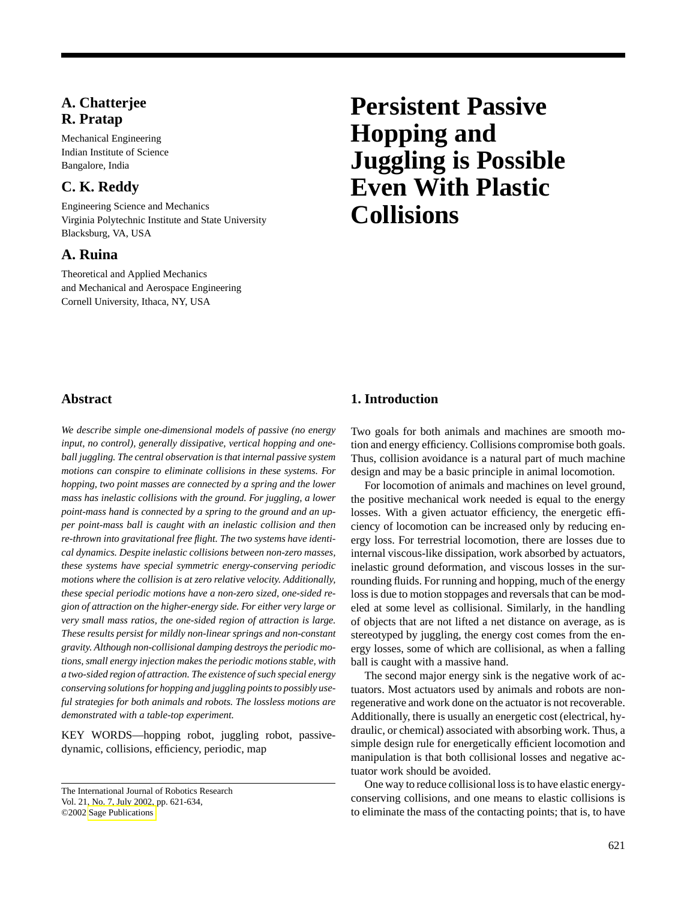# **A. Chatterjee R. Pratap**

Mechanical Engineering Indian Institute of Science Bangalore, India

# **C. K. Reddy**

Engineering Science and Mechanics Virginia Polytechnic Institute and State University Blacksburg, VA, USA

# **A. Ruina**

Theoretical and Applied Mechanics and Mechanical and Aerospace Engineering Cornell University, Ithaca, NY, USA

# **Persistent Passive Hopping and Juggling is Possible Even With Plastic Collisions**

# **Abstract**

*We describe simple one-dimensional models of passive (no energy input, no control), generally dissipative, vertical hopping and oneball juggling. The central observation is that internal passive system motions can conspire to eliminate collisions in these systems. For hopping, two point masses are connected by a spring and the lower mass has inelastic collisions with the ground. For juggling, a lower point-mass hand is connected by a spring to the ground and an upper point-mass ball is caught with an inelastic collision and then re-thrown into gravitational free flight. The two systems have identical dynamics. Despite inelastic collisions between non-zero masses, these systems have special symmetric energy-conserving periodic motions where the collision is at zero relative velocity. Additionally, these special periodic motions have a non-zero sized, one-sided region of attraction on the higher-energy side. For either very large or very small mass ratios, the one-sided region of attraction is large. These results persist for mildly non-linear springs and non-constant gravity. Although non-collisional damping destroys the periodic motions, small energy injection makes the periodic motions stable, with a two-sided region of attraction. The existence of such special energy conserving solutions for hopping and juggling points to possibly useful strategies for both animals and robots. The lossless motions are demonstrated with a table-top experiment.*

KEY WORDS—hopping robot, juggling robot, passivedynamic, collisions, efficiency, periodic, map

## **1. Introduction**

Two goals for both animals and machines are smooth motion and energy efficiency. Collisions compromise both goals. Thus, collision avoidance is a natural part of much machine design and may be a basic principle in animal locomotion.

For locomotion of animals and machines on level ground, the positive mechanical work needed is equal to the energy losses. With a given actuator efficiency, the energetic efficiency of locomotion can be increased only by reducing energy loss. For terrestrial locomotion, there are losses due to internal viscous-like dissipation, work absorbed by actuators, inelastic ground deformation, and viscous losses in the surrounding fluids. For running and hopping, much of the energy loss is due to motion stoppages and reversals that can be modeled at some level as collisional. Similarly, in the handling of objects that are not lifted a net distance on average, as is stereotyped by juggling, the energy cost comes from the energy losses, some of which are collisional, as when a falling ball is caught with a massive hand.

The second major energy sink is the negative work of actuators. Most actuators used by animals and robots are nonregenerative and work done on the actuator is not recoverable. Additionally, there is usually an energetic cost (electrical, hydraulic, or chemical) associated with absorbing work. Thus, a simple design rule for energetically efficient locomotion and manipulation is that both collisional losses and negative actuator work should be avoided.

One way to reduce collisional loss is to have elastic energyconserving collisions, and one means to elastic collisions is to eliminate the mass of the contacting points; that is, to have

The International Journal of Robotics Research Vol. 21, No. 7, July 2002, pp. 621-634, ©2002 [Sage Publications](www.sagepublications.com)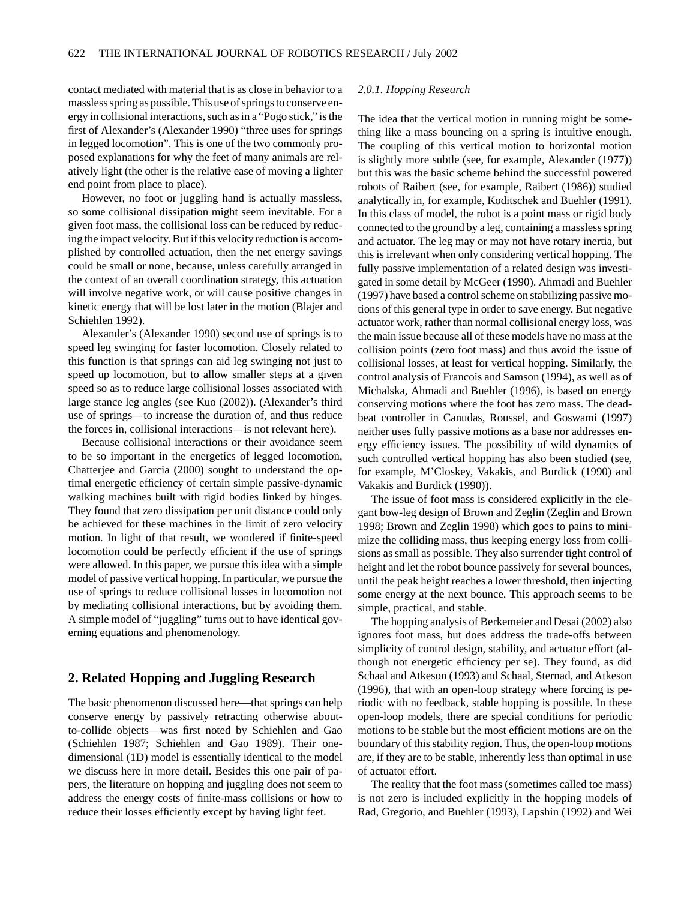contact mediated with material that is as close in behavior to a massless spring as possible. This use of springs to conserve energy in collisional interactions, such as in a "Pogo stick," is the first of Alexander's (Alexander 1990) "three uses for springs in legged locomotion". This is one of the two commonly proposed explanations for why the feet of many animals are relatively light (the other is the relative ease of moving a lighter end point from place to place).

However, no foot or juggling hand is actually massless, so some collisional dissipation might seem inevitable. For a given foot mass, the collisional loss can be reduced by reducing the impact velocity. But if this velocity reduction is accomplished by controlled actuation, then the net energy savings could be small or none, because, unless carefully arranged in the context of an overall coordination strategy, this actuation will involve negative work, or will cause positive changes in kinetic energy that will be lost later in the motion (Blajer and Schiehlen 1992).

Alexander's (Alexander 1990) second use of springs is to speed leg swinging for faster locomotion. Closely related to this function is that springs can aid leg swinging not just to speed up locomotion, but to allow smaller steps at a given speed so as to reduce large collisional losses associated with large stance leg angles (see Kuo (2002)). (Alexander's third use of springs—to increase the duration of, and thus reduce the forces in, collisional interactions—is not relevant here).

Because collisional interactions or their avoidance seem to be so important in the energetics of legged locomotion, Chatterjee and Garcia (2000) sought to understand the optimal energetic efficiency of certain simple passive-dynamic walking machines built with rigid bodies linked by hinges. They found that zero dissipation per unit distance could only be achieved for these machines in the limit of zero velocity motion. In light of that result, we wondered if finite-speed locomotion could be perfectly efficient if the use of springs were allowed. In this paper, we pursue this idea with a simple model of passive vertical hopping. In particular, we pursue the use of springs to reduce collisional losses in locomotion not by mediating collisional interactions, but by avoiding them. A simple model of "juggling" turns out to have identical governing equations and phenomenology.

### **2. Related Hopping and Juggling Research**

The basic phenomenon discussed here—that springs can help conserve energy by passively retracting otherwise aboutto-collide objects—was first noted by Schiehlen and Gao (Schiehlen 1987; Schiehlen and Gao 1989). Their onedimensional (1D) model is essentially identical to the model we discuss here in more detail. Besides this one pair of papers, the literature on hopping and juggling does not seem to address the energy costs of finite-mass collisions or how to reduce their losses efficiently except by having light feet.

#### *2.0.1. Hopping Research*

The idea that the vertical motion in running might be something like a mass bouncing on a spring is intuitive enough. The coupling of this vertical motion to horizontal motion is slightly more subtle (see, for example, Alexander (1977)) but this was the basic scheme behind the successful powered robots of Raibert (see, for example, Raibert (1986)) studied analytically in, for example, Koditschek and Buehler (1991). In this class of model, the robot is a point mass or rigid body connected to the ground by a leg, containing a massless spring and actuator. The leg may or may not have rotary inertia, but this is irrelevant when only considering vertical hopping. The fully passive implementation of a related design was investigated in some detail by McGeer (1990). Ahmadi and Buehler (1997) have based a control scheme on stabilizing passive motions of this general type in order to save energy. But negative actuator work, rather than normal collisional energy loss, was the main issue because all of these models have no mass at the collision points (zero foot mass) and thus avoid the issue of collisional losses, at least for vertical hopping. Similarly, the control analysis of Francois and Samson (1994), as well as of Michalska, Ahmadi and Buehler (1996), is based on energy conserving motions where the foot has zero mass. The deadbeat controller in Canudas, Roussel, and Goswami (1997) neither uses fully passive motions as a base nor addresses energy efficiency issues. The possibility of wild dynamics of such controlled vertical hopping has also been studied (see, for example, M'Closkey, Vakakis, and Burdick (1990) and Vakakis and Burdick (1990)).

The issue of foot mass is considered explicitly in the elegant bow-leg design of Brown and Zeglin (Zeglin and Brown 1998; Brown and Zeglin 1998) which goes to pains to minimize the colliding mass, thus keeping energy loss from collisions as small as possible. They also surrender tight control of height and let the robot bounce passively for several bounces, until the peak height reaches a lower threshold, then injecting some energy at the next bounce. This approach seems to be simple, practical, and stable.

The hopping analysis of Berkemeier and Desai (2002) also ignores foot mass, but does address the trade-offs between simplicity of control design, stability, and actuator effort (although not energetic efficiency per se). They found, as did Schaal and Atkeson (1993) and Schaal, Sternad, and Atkeson (1996), that with an open-loop strategy where forcing is periodic with no feedback, stable hopping is possible. In these open-loop models, there are special conditions for periodic motions to be stable but the most efficient motions are on the boundary of this stability region. Thus, the open-loop motions are, if they are to be stable, inherently less than optimal in use of actuator effort.

The reality that the foot mass (sometimes called toe mass) is not zero is included explicitly in the hopping models of Rad, Gregorio, and Buehler (1993), Lapshin (1992) and Wei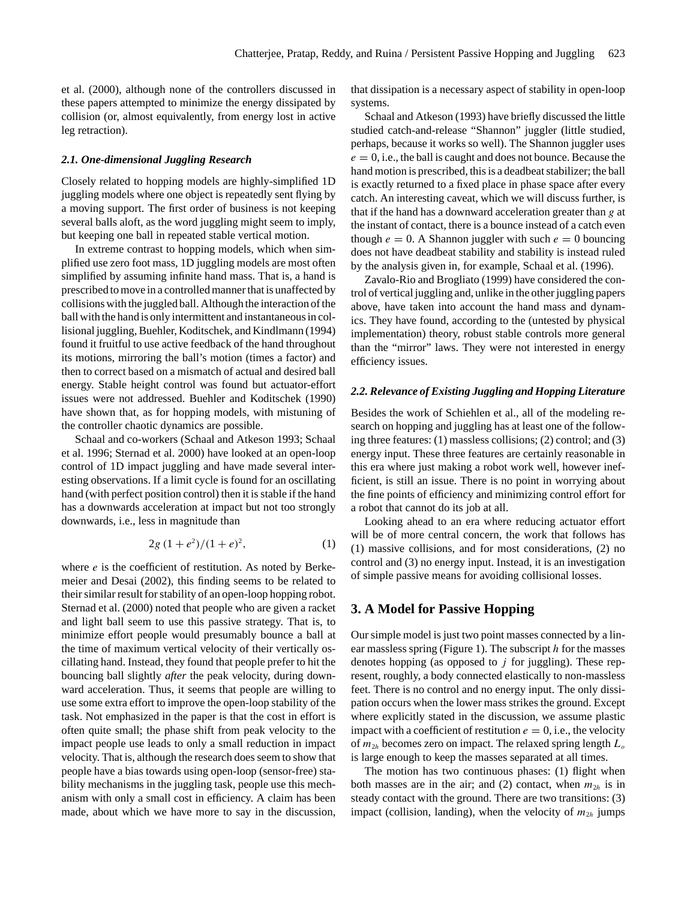et al. (2000), although none of the controllers discussed in these papers attempted to minimize the energy dissipated by collision (or, almost equivalently, from energy lost in active leg retraction).

#### *2.1. One-dimensional Juggling Research*

Closely related to hopping models are highly-simplified 1D juggling models where one object is repeatedly sent flying by a moving support. The first order of business is not keeping several balls aloft, as the word juggling might seem to imply, but keeping one ball in repeated stable vertical motion.

In extreme contrast to hopping models, which when simplified use zero foot mass, 1D juggling models are most often simplified by assuming infinite hand mass. That is, a hand is prescribed to move in a controlled manner that is unaffected by collisions with the juggled ball. Although the interaction of the ball with the hand is only intermittent and instantaneous in collisional juggling, Buehler, Koditschek, and Kindlmann (1994) found it fruitful to use active feedback of the hand throughout its motions, mirroring the ball's motion (times a factor) and then to correct based on a mismatch of actual and desired ball energy. Stable height control was found but actuator-effort issues were not addressed. Buehler and Koditschek (1990) have shown that, as for hopping models, with mistuning of the controller chaotic dynamics are possible.

Schaal and co-workers (Schaal and Atkeson 1993; Schaal et al. 1996; Sternad et al. 2000) have looked at an open-loop control of 1D impact juggling and have made several interesting observations. If a limit cycle is found for an oscillating hand (with perfect position control) then it is stable if the hand has a downwards acceleration at impact but not too strongly downwards, i.e., less in magnitude than

$$
2g\,(1+e^2)/(1+e)^2,\tag{1}
$$

where  $e$  is the coefficient of restitution. As noted by Berkemeier and Desai (2002), this finding seems to be related to their similar result for stability of an open-loop hopping robot. Sternad et al. (2000) noted that people who are given a racket and light ball seem to use this passive strategy. That is, to minimize effort people would presumably bounce a ball at the time of maximum vertical velocity of their vertically oscillating hand. Instead, they found that people prefer to hit the bouncing ball slightly *after* the peak velocity, during downward acceleration. Thus, it seems that people are willing to use some extra effort to improve the open-loop stability of the task. Not emphasized in the paper is that the cost in effort is often quite small; the phase shift from peak velocity to the impact people use leads to only a small reduction in impact velocity. That is, although the research does seem to show that people have a bias towards using open-loop (sensor-free) stability mechanisms in the juggling task, people use this mechanism with only a small cost in efficiency. A claim has been made, about which we have more to say in the discussion,

that dissipation is a necessary aspect of stability in open-loop systems.

Schaal and Atkeson (1993) have briefly discussed the little studied catch-and-release "Shannon" juggler (little studied, perhaps, because it works so well). The Shannon juggler uses  $e = 0$ , i.e., the ball is caught and does not bounce. Because the hand motion is prescribed, this is a deadbeat stabilizer; the ball is exactly returned to a fixed place in phase space after every catch. An interesting caveat, which we will discuss further, is that if the hand has a downward acceleration greater than  $g$  at the instant of contact, there is a bounce instead of a catch even though  $e = 0$ . A Shannon juggler with such  $e = 0$  bouncing does not have deadbeat stability and stability is instead ruled by the analysis given in, for example, Schaal et al. (1996).

Zavalo-Rio and Brogliato (1999) have considered the control of vertical juggling and, unlike in the other juggling papers above, have taken into account the hand mass and dynamics. They have found, according to the (untested by physical implementation) theory, robust stable controls more general than the "mirror" laws. They were not interested in energy efficiency issues.

#### *2.2. Relevance of Existing Juggling and Hopping Literature*

Besides the work of Schiehlen et al., all of the modeling research on hopping and juggling has at least one of the following three features: (1) massless collisions; (2) control; and (3) energy input. These three features are certainly reasonable in this era where just making a robot work well, however inefficient, is still an issue. There is no point in worrying about the fine points of efficiency and minimizing control effort for a robot that cannot do its job at all.

Looking ahead to an era where reducing actuator effort will be of more central concern, the work that follows has (1) massive collisions, and for most considerations, (2) no control and (3) no energy input. Instead, it is an investigation of simple passive means for avoiding collisional losses.

### **3. A Model for Passive Hopping**

Our simple model is just two point masses connected by a linear massless spring (Figure 1). The subscript  $h$  for the masses denotes hopping (as opposed to  $j$  for juggling). These represent, roughly, a body connected elastically to non-massless feet. There is no control and no energy input. The only dissipation occurs when the lower mass strikes the ground. Except where explicitly stated in the discussion, we assume plastic impact with a coefficient of restitution  $e = 0$ , i.e., the velocity of  $m_{2h}$  becomes zero on impact. The relaxed spring length  $L_o$ is large enough to keep the masses separated at all times.

The motion has two continuous phases: (1) flight when both masses are in the air; and (2) contact, when  $m_{2h}$  is in steady contact with the ground. There are two transitions: (3) impact (collision, landing), when the velocity of  $m_{2h}$  jumps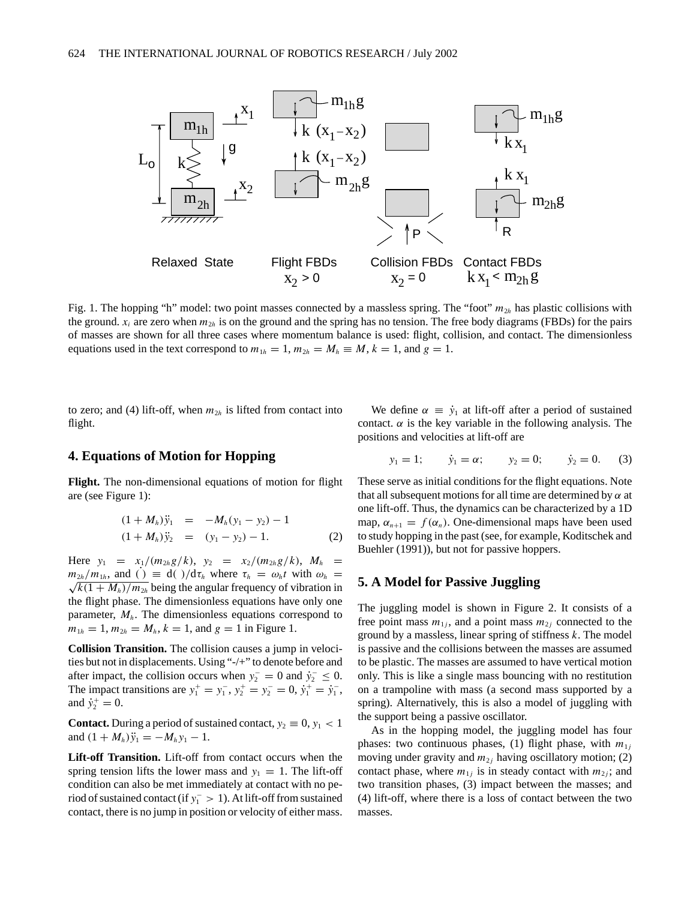

Fig. 1. The hopping "h" model: two point masses connected by a massless spring. The "foot"  $m_{2h}$  has plastic collisions with the ground.  $x_i$  are zero when  $m_{2h}$  is on the ground and the spring has no tension. The free body diagrams (FBDs) for the pairs of masses are shown for all three cases where momentum balance is used: flight, collision, and contact. The dimensionless equations used in the text correspond to  $m_{1h} = 1$ ,  $m_{2h} = M_h \equiv M$ ,  $k = 1$ , and  $g = 1$ .

to zero; and (4) lift-off, when  $m_{2h}$  is lifted from contact into flight.

## **4. Equations of Motion for Hopping**

**Flight.** The non-dimensional equations of motion for flight are (see Figure 1):

$$
(1 + M_h)\ddot{y}_1 = -M_h(y_1 - y_2) - 1
$$
  
\n
$$
(1 + M_h)\ddot{y}_2 = (y_1 - y_2) - 1.
$$
 (2)

Here  $y_1 = x_1/(m_{2h}g/k), y_2 = x_2/(m_{2h}g/k), M_h =$  $m_{2h}/m_{1h}$ , and  $\dot{\textbf{(}}) \equiv d(\textbf{)}/d\tau_h$  where  $\tau_h = \omega_h t$  with  $\omega_h = \sqrt{k(1 + M_h)/m_{2h}}$  being the angular frequency of vibration in the flight phase. The dimensionless equations have only one parameter,  $M<sub>h</sub>$ . The dimensionless equations correspond to  $m_{1h} = 1$ ,  $m_{2h} = M_h$ ,  $k = 1$ , and  $g = 1$  in Figure 1.

**Collision Transition.** The collision causes a jump in velocities but not in displacements. Using "-/+" to denote before and after impact, the collision occurs when  $y_2^- = 0$  and  $\dot{y}_2^- \le 0$ . The impact transitions are  $y_1^+ = y_1^-, y_2^+ = y_2^- = 0, \dot{y}_1^+ = \dot{y}_1^-$ , and  $\dot{y}_2^+ = 0$ .

**Contact.** During a period of sustained contact,  $y_2 \equiv 0$ ,  $y_1 < 1$ and  $(1 + M_h)\ddot{y}_1 = -M_hy_1 - 1$ .

**Lift-off Transition.** Lift-off from contact occurs when the spring tension lifts the lower mass and  $y_1 = 1$ . The lift-off condition can also be met immediately at contact with no period of sustained contact (if  $y_1^- > 1$ ). At lift-off from sustained contact, there is no jump in position or velocity of either mass.

We define  $\alpha \equiv \dot{y}_1$  at lift-off after a period of sustained contact.  $\alpha$  is the key variable in the following analysis. The positions and velocities at lift-off are

$$
y_1 = 1;
$$
  $\dot{y}_1 = \alpha;$   $y_2 = 0;$   $\dot{y}_2 = 0.$  (3)

These serve as initial conditions for the flight equations. Note that all subsequent motions for all time are determined by  $\alpha$  at one lift-off. Thus, the dynamics can be characterized by a 1D map,  $\alpha_{n+1} = f(\alpha_n)$ . One-dimensional maps have been used to study hopping in the past (see, for example, Koditschek and Buehler (1991)), but not for passive hoppers.

## **5. A Model for Passive Juggling**

The juggling model is shown in Figure 2. It consists of a free point mass  $m_{1i}$ , and a point mass  $m_{2i}$  connected to the ground by a massless, linear spring of stiffness  $k$ . The model is passive and the collisions between the masses are assumed to be plastic. The masses are assumed to have vertical motion only. This is like a single mass bouncing with no restitution on a trampoline with mass (a second mass supported by a spring). Alternatively, this is also a model of juggling with the support being a passive oscillator.

As in the hopping model, the juggling model has four phases: two continuous phases, (1) flight phase, with  $m_{1i}$ moving under gravity and  $m_{2i}$  having oscillatory motion; (2) contact phase, where  $m_{1i}$  is in steady contact with  $m_{2i}$ ; and two transition phases, (3) impact between the masses; and (4) lift-off, where there is a loss of contact between the two masses.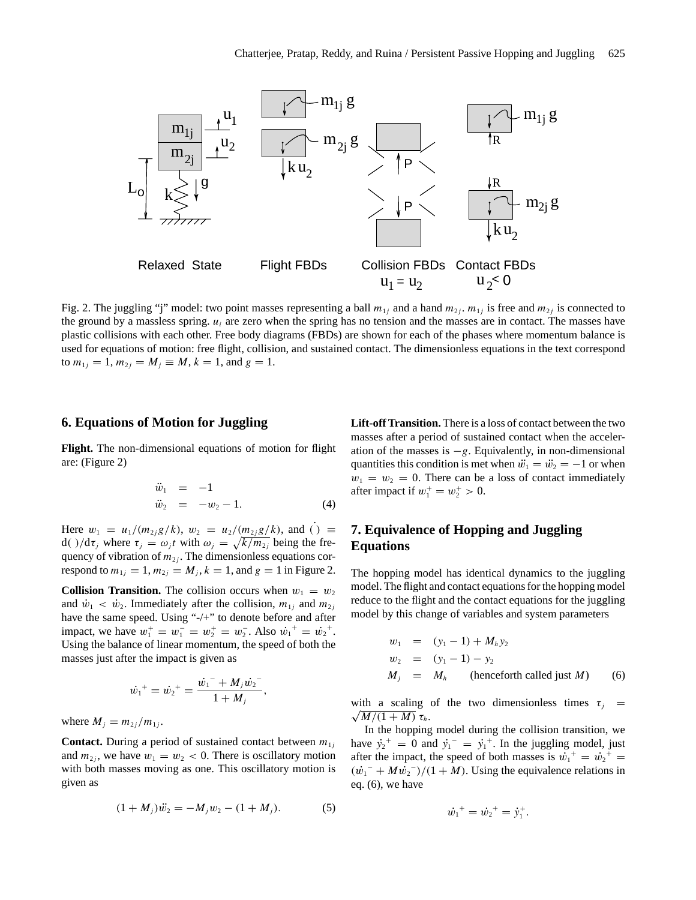

Fig. 2. The juggling "j" model: two point masses representing a ball  $m_{1j}$  and a hand  $m_{2j}$ .  $m_{1j}$  is free and  $m_{2j}$  is connected to the ground by a massless spring.  $u_i$  are zero when the spring has no tension and the masses are in contact. The masses have plastic collisions with each other. Free body diagrams (FBDs) are shown for each of the phases where momentum balance is used for equations of motion: free flight, collision, and sustained contact. The dimensionless equations in the text correspond to  $m_{1i} = 1$ ,  $m_{2i} = M_i \equiv M$ ,  $k = 1$ , and  $g = 1$ .

#### **6. Equations of Motion for Juggling**

**Flight.** The non-dimensional equations of motion for flight are: (Figure 2)

$$
\ddot{w}_1 = -1 \n\ddot{w}_2 = -w_2 - 1.
$$
\n(4)

Here  $w_1 = u_1/(m_{2i}g/k), w_2 = u_2/(m_{2i}g/k),$  and  $() \equiv$ d( )/d $\tau_j$  where  $\tau_j = \omega_j t$  with  $\omega_j = \sqrt{k/m_{2j}}$  being the frequency of vibration of  $m_{2i}$ . The dimensionless equations correspond to  $m_{1j} = 1, m_{2j} = M_j, k = 1$ , and  $g = 1$  in Figure 2.

**Collision Transition.** The collision occurs when  $w_1 = w_2$ and  $\dot{w}_1 < \dot{w}_2$ . Immediately after the collision,  $m_{1j}$  and  $m_{2j}$ have the same speed. Using "-/+" to denote before and after impact, we have  $w_1^+ = w_1^- = w_2^+ = w_2^-$ . Also  $\dot{w}_1^+ = \dot{w}_2^+$ . Using the balance of linear momentum, the speed of both the masses just after the impact is given as

$$
\dot{w_1}^+ = \dot{w_2}^+ = \frac{\dot{w_1}^- + M_j \dot{w_2}^-}{1 + M_j},
$$

where  $M_i = m_{2i}/m_{1i}$ .

**Contact.** During a period of sustained contact between  $m_{1j}$ and  $m_{2i}$ , we have  $w_1 = w_2 < 0$ . There is oscillatory motion with both masses moving as one. This oscillatory motion is given as

$$
(1 + M_j)\ddot{w}_2 = -M_j w_2 - (1 + M_j). \tag{5}
$$

**Lift-off Transition.** There is a loss of contact between the two masses after a period of sustained contact when the acceleration of the masses is  $-g$ . Equivalently, in non-dimensional quantities this condition is met when  $\ddot{w}_1 = \ddot{w}_2 = -1$  or when  $w_1 = w_2 = 0$ . There can be a loss of contact immediately after impact if  $w_1^+ = w_2^+ > 0$ .

# **7. Equivalence of Hopping and Juggling Equations**

The hopping model has identical dynamics to the juggling model. The flight and contact equations for the hopping model reduce to the flight and the contact equations for the juggling model by this change of variables and system parameters

$$
w_1 = (y_1 - 1) + M_h y_2
$$
  
\n
$$
w_2 = (y_1 - 1) - y_2
$$
  
\n
$$
M_j = M_h
$$
 (henceforth called just M) (6)

with a scaling of the two dimensionless times  $\tau_j = \sqrt{M/(1+M)} \tau_h$ .

In the hopping model during the collision transition, we have  $\dot{y}_2^+ = 0$  and  $\dot{y}_1^- = \dot{y}_1^+$ . In the juggling model, just after the impact, the speed of both masses is  $\dot{w}_1^+ = \dot{w}_2^+ =$  $(\dot{w}_1 + M \dot{w}_2) / (1 + M)$ . Using the equivalence relations in eq. (6), we have

$$
\dot{w_1}^+ = \dot{w_2}^+ = \dot{y}_1^+.
$$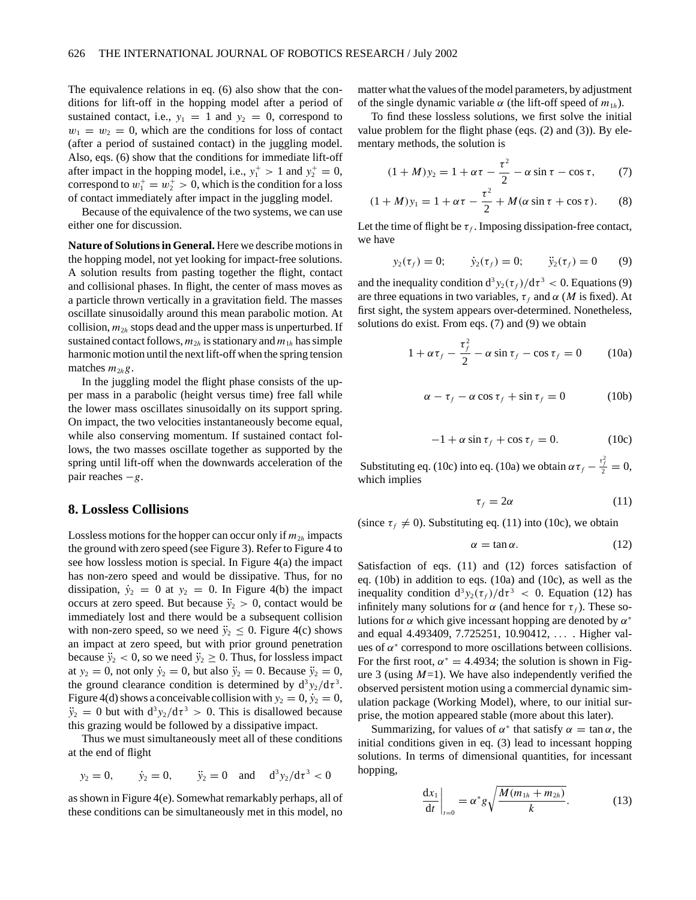The equivalence relations in eq. (6) also show that the conditions for lift-off in the hopping model after a period of sustained contact, i.e.,  $y_1 = 1$  and  $y_2 = 0$ , correspond to  $w_1 = w_2 = 0$ , which are the conditions for loss of contact (after a period of sustained contact) in the juggling model. Also, eqs. (6) show that the conditions for immediate lift-off after impact in the hopping model, i.e.,  $y_1^+ > 1$  and  $y_2^+ = 0$ , correspond to  $w_1^+ = w_2^+ > 0$ , which is the condition for a loss of contact immediately after impact in the juggling model.

Because of the equivalence of the two systems, we can use either one for discussion.

**Nature of Solutions in General.** Here we describe motions in the hopping model, not yet looking for impact-free solutions. A solution results from pasting together the flight, contact and collisional phases. In flight, the center of mass moves as a particle thrown vertically in a gravitation field. The masses oscillate sinusoidally around this mean parabolic motion. At collision,  $m_{2h}$  stops dead and the upper mass is unperturbed. If sustained contact follows,  $m_{2h}$  is stationary and  $m_{1h}$  has simple harmonic motion until the next lift-off when the spring tension matches  $m_{2h}g$ .

In the juggling model the flight phase consists of the upper mass in a parabolic (height versus time) free fall while the lower mass oscillates sinusoidally on its support spring. On impact, the two velocities instantaneously become equal, while also conserving momentum. If sustained contact follows, the two masses oscillate together as supported by the spring until lift-off when the downwards acceleration of the pair reaches  $-g$ .

#### **8. Lossless Collisions**

Lossless motions for the hopper can occur only if  $m_{2h}$  impacts the ground with zero speed (see Figure 3). Refer to Figure 4 to see how lossless motion is special. In Figure 4(a) the impact has non-zero speed and would be dissipative. Thus, for no dissipation,  $\dot{y}_2 = 0$  at  $y_2 = 0$ . In Figure 4(b) the impact occurs at zero speed. But because  $\ddot{y}_2 > 0$ , contact would be immediately lost and there would be a subsequent collision with non-zero speed, so we need  $\ddot{y}_2 \le 0$ . Figure 4(c) shows an impact at zero speed, but with prior ground penetration because  $\ddot{y}_2 < 0$ , so we need  $\ddot{y}_2 \ge 0$ . Thus, for lossless impact at  $y_2 = 0$ , not only  $\dot{y}_2 = 0$ , but also  $\ddot{y}_2 = 0$ . Because  $\ddot{y}_2 = 0$ , the ground clearance condition is determined by  $d^3y_2/d\tau^3$ . Figure 4(d) shows a conceivable collision with  $y_2 = 0$ ,  $\dot{y}_2 = 0$ ,  $\ddot{y}_2 = 0$  but with  $d^3 y_2/d\tau^3 > 0$ . This is disallowed because this grazing would be followed by a dissipative impact.

Thus we must simultaneously meet all of these conditions at the end of flight

$$
y_2 = 0
$$
,  $\dot{y}_2 = 0$ ,  $\ddot{y}_2 = 0$  and  $d^3 y_2 / d\tau^3 < 0$ 

as shown in Figure 4(e). Somewhat remarkably perhaps, all of these conditions can be simultaneously met in this model, no matter what the values of the model parameters, by adjustment of the single dynamic variable  $\alpha$  (the lift-off speed of  $m_{1h}$ ).

To find these lossless solutions, we first solve the initial value problem for the flight phase (eqs. (2) and (3)). By elementary methods, the solution is

$$
(1 + M)y_2 = 1 + \alpha \tau - \frac{\tau^2}{2} - \alpha \sin \tau - \cos \tau, \qquad (7)
$$

$$
(1+M)y_1 = 1 + \alpha \tau - \frac{\tau^2}{2} + M(\alpha \sin \tau + \cos \tau). \tag{8}
$$

Let the time of flight be  $\tau_f$ . Imposing dissipation-free contact, we have

$$
y_2(\tau_f) = 0;
$$
  $\dot{y}_2(\tau_f) = 0;$   $\ddot{y}_2(\tau_f) = 0$  (9)

and the inequality condition  $d^3y_2(\tau_f)/d\tau^3 < 0$ . Equations (9) are three equations in two variables,  $\tau_f$  and  $\alpha$  (*M* is fixed). At first sight, the system appears over-determined. Nonetheless, solutions do exist. From eqs. (7) and (9) we obtain

$$
1 + \alpha \tau_f - \frac{\tau_f^2}{2} - \alpha \sin \tau_f - \cos \tau_f = 0 \qquad (10a)
$$

$$
\alpha - \tau_f - \alpha \cos \tau_f + \sin \tau_f = 0 \tag{10b}
$$

$$
-1 + \alpha \sin \tau_f + \cos \tau_f = 0. \tag{10c}
$$

Substituting eq. (10c) into eq. (10a) we obtain  $\alpha \tau_f - \frac{\tau_f^2}{2} = 0$ , which implies

$$
\tau_f = 2\alpha \tag{11}
$$

(since  $\tau_f \neq 0$ ). Substituting eq. (11) into (10c), we obtain

$$
\alpha = \tan \alpha. \tag{12}
$$

Satisfaction of eqs. (11) and (12) forces satisfaction of eq. (10b) in addition to eqs. (10a) and (10c), as well as the inequality condition  $d^3y_2(\tau_f)/d\tau^3$  < 0. Equation (12) has infinitely many solutions for  $\alpha$  (and hence for  $\tau_f$ ). These solutions for  $\alpha$  which give incessant hopping are denoted by  $\alpha^*$ and equal 4.493409, 7.725251, 10.90412, ... . Higher values of  $\alpha^*$  correspond to more oscillations between collisions. For the first root,  $\alpha^* = 4.4934$ ; the solution is shown in Figure 3 (using  $M=1$ ). We have also independently verified the observed persistent motion using a commercial dynamic simulation package (Working Model), where, to our initial surprise, the motion appeared stable (more about this later).

Summarizing, for values of  $\alpha^*$  that satisfy  $\alpha = \tan \alpha$ , the initial conditions given in eq. (3) lead to incessant hopping solutions. In terms of dimensional quantities, for incessant hopping,

$$
\left. \frac{dx_1}{dt} \right|_{t=0} = \alpha^* g \sqrt{\frac{M(m_{1h} + m_{2h})}{k}}.
$$
 (13)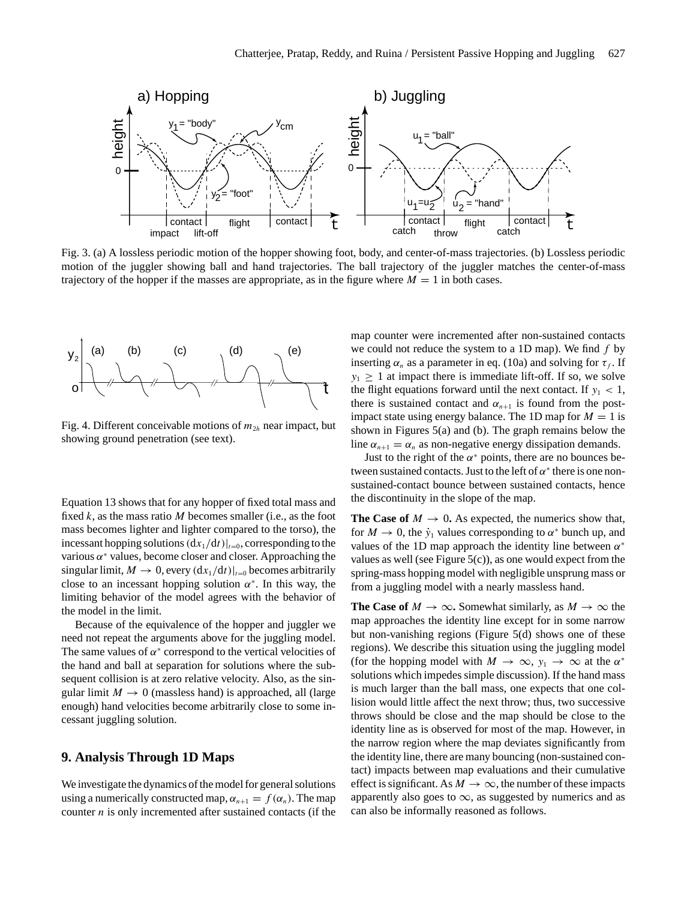

Fig. 3. (a) A lossless periodic motion of the hopper showing foot, body, and center-of-mass trajectories. (b) Lossless periodic motion of the juggler showing ball and hand trajectories. The ball trajectory of the juggler matches the center-of-mass trajectory of the hopper if the masses are appropriate, as in the figure where  $M = 1$  in both cases.



Fig. 4. Different conceivable motions of  $m_{2h}$  near impact, but showing ground penetration (see text).

Equation 13 shows that for any hopper of fixed total mass and fixed k, as the mass ratio  $M$  becomes smaller (i.e., as the foot mass becomes lighter and lighter compared to the torso), the incessant hopping solutions  $\left(\frac{dx_1}{dt}\right)|_{t=0}$ , corresponding to the various  $\alpha^*$  values, become closer and closer. Approaching the singular limit,  $M \to 0$ , every  $\left(\frac{dx_1}{dt}\right)|_{t=0}$  becomes arbitrarily close to an incessant hopping solution  $\alpha^*$ . In this way, the limiting behavior of the model agrees with the behavior of the model in the limit.

Because of the equivalence of the hopper and juggler we need not repeat the arguments above for the juggling model. The same values of  $\alpha$ <sup>\*</sup> correspond to the vertical velocities of the hand and ball at separation for solutions where the subsequent collision is at zero relative velocity. Also, as the singular limit  $M \to 0$  (massless hand) is approached, all (large enough) hand velocities become arbitrarily close to some incessant juggling solution.

## **9. Analysis Through 1D Maps**

We investigate the dynamics of the model for general solutions using a numerically constructed map,  $\alpha_{n+1} = f(\alpha_n)$ . The map counter  $n$  is only incremented after sustained contacts (if the map counter were incremented after non-sustained contacts we could not reduce the system to a 1D map). We find  $f$  by inserting  $\alpha_n$  as a parameter in eq. (10a) and solving for  $\tau_f$ . If  $y_1 \geq 1$  at impact there is immediate lift-off. If so, we solve the flight equations forward until the next contact. If  $y_1 < 1$ , there is sustained contact and  $\alpha_{n+1}$  is found from the postimpact state using energy balance. The 1D map for  $M = 1$  is shown in Figures 5(a) and (b). The graph remains below the line  $\alpha_{n+1} = \alpha_n$  as non-negative energy dissipation demands.

Just to the right of the  $\alpha^*$  points, there are no bounces between sustained contacts. Just to the left of  $\alpha^*$  there is one nonsustained-contact bounce between sustained contacts, hence the discontinuity in the slope of the map.

**The Case of**  $M \to 0$ . As expected, the numerics show that, for  $M \to 0$ , the  $\dot{y}_1$  values corresponding to  $\alpha^*$  bunch up, and values of the 1D map approach the identity line between  $\alpha^*$ values as well (see Figure 5(c)), as one would expect from the spring-mass hopping model with negligible unsprung mass or from a juggling model with a nearly massless hand.

**The Case of**  $M \to \infty$ . Somewhat similarly, as  $M \to \infty$  the map approaches the identity line except for in some narrow but non-vanishing regions (Figure 5(d) shows one of these regions). We describe this situation using the juggling model (for the hopping model with  $M \to \infty$ ,  $y_1 \to \infty$  at the  $\alpha^*$ solutions which impedes simple discussion). If the hand mass is much larger than the ball mass, one expects that one collision would little affect the next throw; thus, two successive throws should be close and the map should be close to the identity line as is observed for most of the map. However, in the narrow region where the map deviates significantly from the identity line, there are many bouncing (non-sustained contact) impacts between map evaluations and their cumulative effect is significant. As  $M \to \infty$ , the number of these impacts apparently also goes to  $\infty$ , as suggested by numerics and as can also be informally reasoned as follows.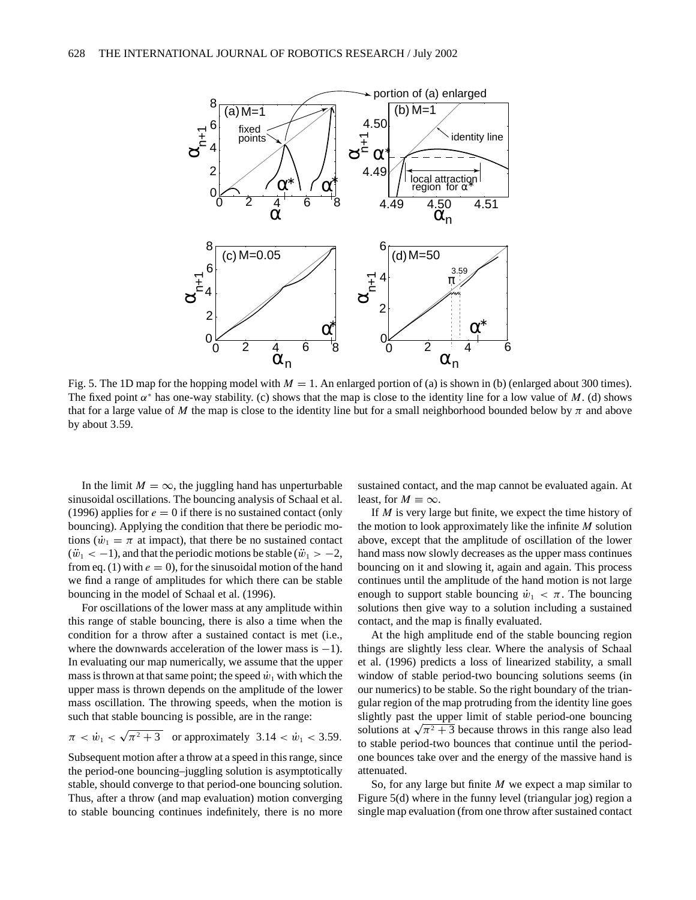

Fig. 5. The 1D map for the hopping model with  $M = 1$ . An enlarged portion of (a) is shown in (b) (enlarged about 300 times). The fixed point  $\alpha^*$  has one-way stability. (c) shows that the map is close to the identity line for a low value of M. (d) shows that for a large value of M the map is close to the identity line but for a small neighborhood bounded below by  $\pi$  and above by about 3.59.

In the limit  $M = \infty$ , the juggling hand has unperturbable sinusoidal oscillations. The bouncing analysis of Schaal et al. (1996) applies for  $e = 0$  if there is no sustained contact (only bouncing). Applying the condition that there be periodic motions ( $\dot{w}_1 = \pi$  at impact), that there be no sustained contact  $(\ddot{w}_1 < -1)$ , and that the periodic motions be stable  $(\ddot{w}_1 > -2)$ , from eq. (1) with  $e = 0$ ), for the sinusoidal motion of the hand we find a range of amplitudes for which there can be stable bouncing in the model of Schaal et al. (1996).

For oscillations of the lower mass at any amplitude within this range of stable bouncing, there is also a time when the condition for a throw after a sustained contact is met (i.e., where the downwards acceleration of the lower mass is −1). In evaluating our map numerically, we assume that the upper mass is thrown at that same point; the speed  $\dot{w}_1$  with which the upper mass is thrown depends on the amplitude of the lower mass oscillation. The throwing speeds, when the motion is such that stable bouncing is possible, are in the range:

$$
\pi < \dot{w}_1 < \sqrt{\pi^2 + 3}
$$
 or approximately 3.14  $u_1 < 3.59$ .

Subsequent motion after a throw at a speed in this range, since the period-one bouncing–juggling solution is asymptotically stable, should converge to that period-one bouncing solution. Thus, after a throw (and map evaluation) motion converging to stable bouncing continues indefinitely, there is no more sustained contact, and the map cannot be evaluated again. At least, for  $M \equiv \infty$ .

If  $M$  is very large but finite, we expect the time history of the motion to look approximately like the infinite  $M$  solution above, except that the amplitude of oscillation of the lower hand mass now slowly decreases as the upper mass continues bouncing on it and slowing it, again and again. This process continues until the amplitude of the hand motion is not large enough to support stable bouncing  $\dot{w}_1 < \pi$ . The bouncing solutions then give way to a solution including a sustained contact, and the map is finally evaluated.

At the high amplitude end of the stable bouncing region things are slightly less clear. Where the analysis of Schaal et al. (1996) predicts a loss of linearized stability, a small window of stable period-two bouncing solutions seems (in our numerics) to be stable. So the right boundary of the triangular region of the map protruding from the identity line goes slightly past the upper limit of stable period-one bouncing solutions at  $\sqrt{\pi^2 + 3}$  because throws in this range also lead to stable period-two bounces that continue until the periodone bounces take over and the energy of the massive hand is attenuated.

So, for any large but finite  $M$  we expect a map similar to Figure 5(d) where in the funny level (triangular jog) region a single map evaluation (from one throw after sustained contact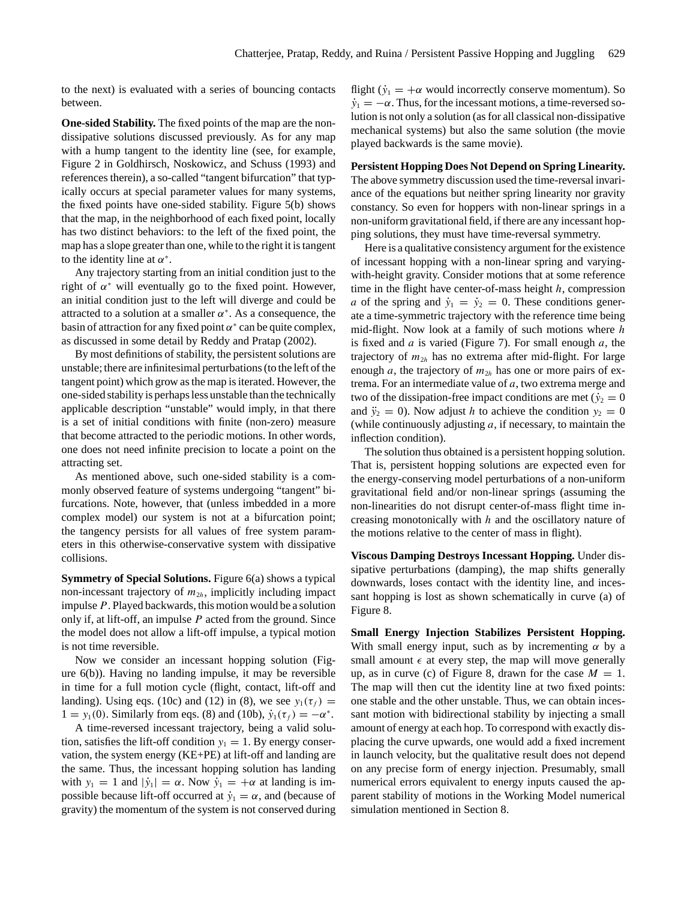to the next) is evaluated with a series of bouncing contacts between.

**One-sided Stability.** The fixed points of the map are the nondissipative solutions discussed previously. As for any map with a hump tangent to the identity line (see, for example, Figure 2 in Goldhirsch, Noskowicz, and Schuss (1993) and references therein), a so-called "tangent bifurcation" that typically occurs at special parameter values for many systems, the fixed points have one-sided stability. Figure 5(b) shows that the map, in the neighborhood of each fixed point, locally has two distinct behaviors: to the left of the fixed point, the map has a slope greater than one, while to the right it is tangent to the identity line at  $\alpha^*$ .

Any trajectory starting from an initial condition just to the right of  $\alpha^*$  will eventually go to the fixed point. However, an initial condition just to the left will diverge and could be attracted to a solution at a smaller  $\alpha^*$ . As a consequence, the basin of attraction for any fixed point  $\alpha^*$  can be quite complex, as discussed in some detail by Reddy and Pratap (2002).

By most definitions of stability, the persistent solutions are unstable; there are infinitesimal perturbations (to the left of the tangent point) which grow as the map is iterated. However, the one-sided stability is perhaps less unstable than the technically applicable description "unstable" would imply, in that there is a set of initial conditions with finite (non-zero) measure that become attracted to the periodic motions. In other words, one does not need infinite precision to locate a point on the attracting set.

As mentioned above, such one-sided stability is a commonly observed feature of systems undergoing "tangent" bifurcations. Note, however, that (unless imbedded in a more complex model) our system is not at a bifurcation point; the tangency persists for all values of free system parameters in this otherwise-conservative system with dissipative collisions.

**Symmetry of Special Solutions.** Figure 6(a) shows a typical non-incessant trajectory of  $m_{2h}$ , implicitly including impact impulse  $P$ . Played backwards, this motion would be a solution only if, at lift-off, an impulse  $P$  acted from the ground. Since the model does not allow a lift-off impulse, a typical motion is not time reversible.

Now we consider an incessant hopping solution (Figure 6(b)). Having no landing impulse, it may be reversible in time for a full motion cycle (flight, contact, lift-off and landing). Using eqs. (10c) and (12) in (8), we see  $y_1(\tau_f)$  =  $1 = y_1(0)$ . Similarly from eqs. (8) and (10b),  $\dot{y}_1(\tau_f) = -\alpha^*$ .

A time-reversed incessant trajectory, being a valid solution, satisfies the lift-off condition  $y_1 = 1$ . By energy conservation, the system energy (KE+PE) at lift-off and landing are the same. Thus, the incessant hopping solution has landing with  $y_1 = 1$  and  $|\dot{y}_1| = \alpha$ . Now  $\dot{y}_1 = +\alpha$  at landing is impossible because lift-off occurred at  $\dot{y}_1 = \alpha$ , and (because of gravity) the momentum of the system is not conserved during flight ( $\dot{y}_1 = +\alpha$  would incorrectly conserve momentum). So  $\dot{y}_1 = -\alpha$ . Thus, for the incessant motions, a time-reversed solution is not only a solution (as for all classical non-dissipative mechanical systems) but also the same solution (the movie played backwards is the same movie).

**Persistent Hopping Does Not Depend on Spring Linearity.** The above symmetry discussion used the time-reversal invariance of the equations but neither spring linearity nor gravity constancy. So even for hoppers with non-linear springs in a non-uniform gravitational field, if there are any incessant hopping solutions, they must have time-reversal symmetry.

Here is a qualitative consistency argument for the existence of incessant hopping with a non-linear spring and varyingwith-height gravity. Consider motions that at some reference time in the flight have center-of-mass height  $h$ , compression a of the spring and  $\dot{y}_1 = \dot{y}_2 = 0$ . These conditions generate a time-symmetric trajectory with the reference time being mid-flight. Now look at a family of such motions where  $h$ is fixed and  $a$  is varied (Figure 7). For small enough  $a$ , the trajectory of  $m_{2h}$  has no extrema after mid-flight. For large enough a, the trajectory of  $m_{2h}$  has one or more pairs of extrema. For an intermediate value of a, two extrema merge and two of the dissipation-free impact conditions are met ( $\dot{y}_2 = 0$ and  $\ddot{y}_2 = 0$ ). Now adjust h to achieve the condition  $y_2 = 0$ (while continuously adjusting  $a$ , if necessary, to maintain the inflection condition).

The solution thus obtained is a persistent hopping solution. That is, persistent hopping solutions are expected even for the energy-conserving model perturbations of a non-uniform gravitational field and/or non-linear springs (assuming the non-linearities do not disrupt center-of-mass flight time increasing monotonically with  $h$  and the oscillatory nature of the motions relative to the center of mass in flight).

**Viscous Damping Destroys Incessant Hopping.** Under dissipative perturbations (damping), the map shifts generally downwards, loses contact with the identity line, and incessant hopping is lost as shown schematically in curve (a) of Figure 8.

**Small Energy Injection Stabilizes Persistent Hopping.** With small energy input, such as by incrementing  $\alpha$  by a small amount  $\epsilon$  at every step, the map will move generally up, as in curve (c) of Figure 8, drawn for the case  $M = 1$ . The map will then cut the identity line at two fixed points: one stable and the other unstable. Thus, we can obtain incessant motion with bidirectional stability by injecting a small amount of energy at each hop. To correspond with exactly displacing the curve upwards, one would add a fixed increment in launch velocity, but the qualitative result does not depend on any precise form of energy injection. Presumably, small numerical errors equivalent to energy inputs caused the apparent stability of motions in the Working Model numerical simulation mentioned in Section 8.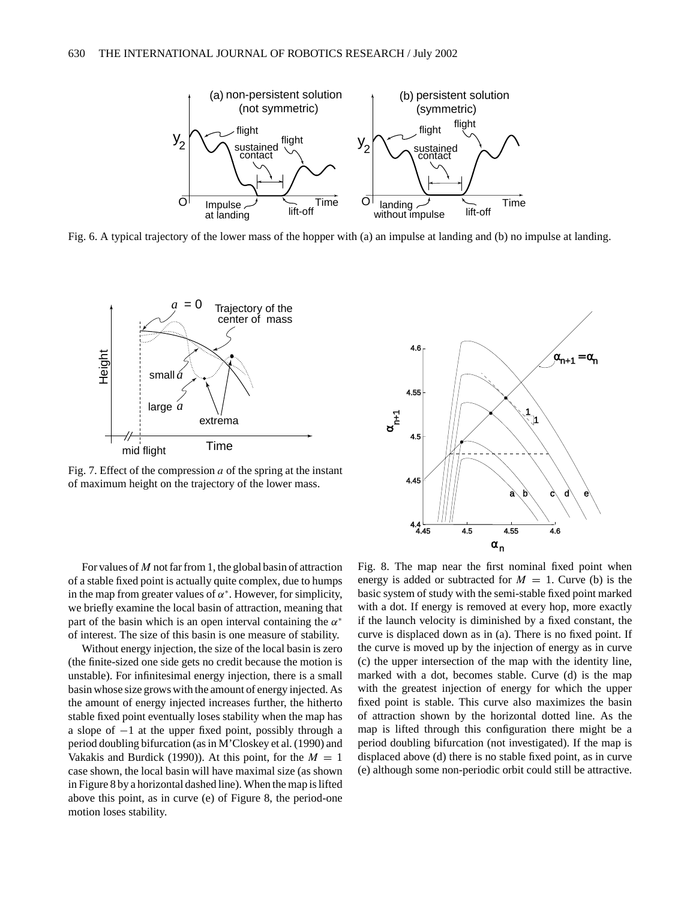

Fig. 6. A typical trajectory of the lower mass of the hopper with (a) an impulse at landing and (b) no impulse at landing.



Fig. 7. Effect of the compression  $\alpha$  of the spring at the instant of maximum height on the trajectory of the lower mass.



For values of  $M$  not far from 1, the global basin of attraction of a stable fixed point is actually quite complex, due to humps in the map from greater values of  $\alpha^*$ . However, for simplicity, we briefly examine the local basin of attraction, meaning that part of the basin which is an open interval containing the  $\alpha^*$ of interest. The size of this basin is one measure of stability.

Without energy injection, the size of the local basin is zero (the finite-sized one side gets no credit because the motion is unstable). For infinitesimal energy injection, there is a small basin whose size grows with the amount of energy injected. As the amount of energy injected increases further, the hitherto stable fixed point eventually loses stability when the map has a slope of −1 at the upper fixed point, possibly through a period doubling bifurcation (as in M'Closkey et al. (1990) and Vakakis and Burdick (1990)). At this point, for the  $M = 1$ case shown, the local basin will have maximal size (as shown in Figure 8 by a horizontal dashed line). When the map is lifted above this point, as in curve (e) of Figure 8, the period-one motion loses stability.

Fig. 8. The map near the first nominal fixed point when energy is added or subtracted for  $M = 1$ . Curve (b) is the basic system of study with the semi-stable fixed point marked with a dot. If energy is removed at every hop, more exactly if the launch velocity is diminished by a fixed constant, the curve is displaced down as in (a). There is no fixed point. If the curve is moved up by the injection of energy as in curve (c) the upper intersection of the map with the identity line, marked with a dot, becomes stable. Curve (d) is the map with the greatest injection of energy for which the upper fixed point is stable. This curve also maximizes the basin of attraction shown by the horizontal dotted line. As the map is lifted through this configuration there might be a period doubling bifurcation (not investigated). If the map is displaced above (d) there is no stable fixed point, as in curve (e) although some non-periodic orbit could still be attractive.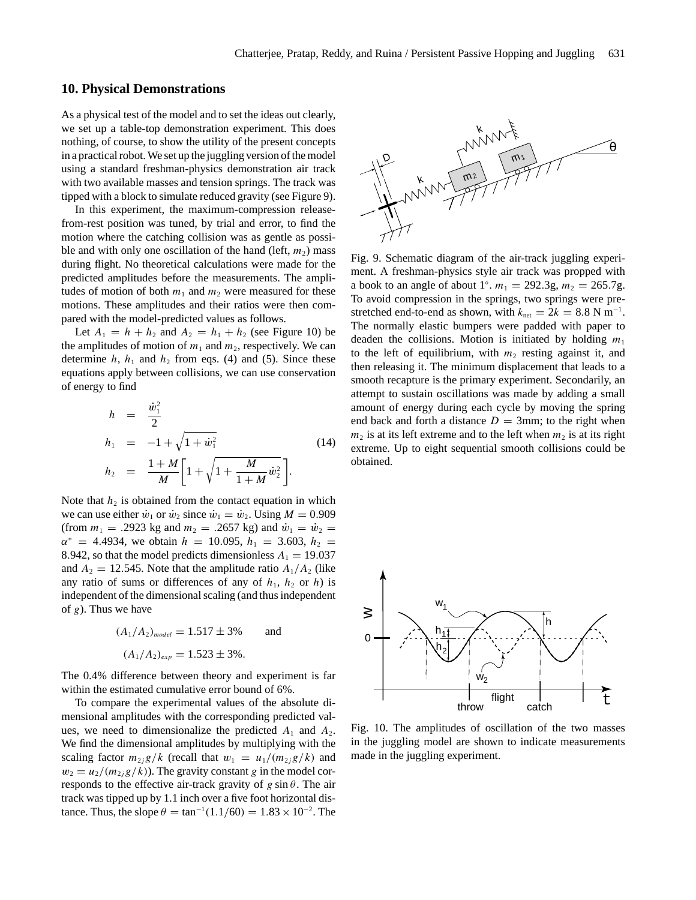#### **10. Physical Demonstrations**

As a physical test of the model and to set the ideas out clearly, we set up a table-top demonstration experiment. This does nothing, of course, to show the utility of the present concepts in a practical robot. We set up the juggling version of the model using a standard freshman-physics demonstration air track with two available masses and tension springs. The track was tipped with a block to simulate reduced gravity (see Figure 9).

In this experiment, the maximum-compression releasefrom-rest position was tuned, by trial and error, to find the motion where the catching collision was as gentle as possible and with only one oscillation of the hand (left,  $m_2$ ) mass during flight. No theoretical calculations were made for the predicted amplitudes before the measurements. The amplitudes of motion of both  $m_1$  and  $m_2$  were measured for these motions. These amplitudes and their ratios were then compared with the model-predicted values as follows.

Let  $A_1 = h + h_2$  and  $A_2 = h_1 + h_2$  (see Figure 10) be the amplitudes of motion of  $m_1$  and  $m_2$ , respectively. We can determine  $h$ ,  $h_1$  and  $h_2$  from eqs. (4) and (5). Since these equations apply between collisions, we can use conservation of energy to find

$$
h = \frac{\dot{w}_1^2}{2}
$$
  
\n
$$
h_1 = -1 + \sqrt{1 + \dot{w}_1^2}
$$
  
\n
$$
h_2 = \frac{1 + M}{M} \left[ 1 + \sqrt{1 + \frac{M}{1 + M} \dot{w}_2^2} \right].
$$
\n(14)

Note that  $h_2$  is obtained from the contact equation in which we can use either  $\dot{w}_1$  or  $\dot{w}_2$  since  $\dot{w}_1 = \dot{w}_2$ . Using  $M = 0.909$ (from  $m_1 = .2923$  kg and  $m_2 = .2657$  kg) and  $\dot{w}_1 = \dot{w}_2 =$  $\alpha^* = 4.4934$ , we obtain  $h = 10.095$ ,  $h_1 = 3.603$ ,  $h_2 =$ 8.942, so that the model predicts dimensionless  $A_1 = 19.037$ and  $A_2 = 12.545$ . Note that the amplitude ratio  $A_1/A_2$  (like any ratio of sums or differences of any of  $h_1$ ,  $h_2$  or h) is independent of the dimensional scaling (and thus independent of  $g$ ). Thus we have

$$
(A_1/A_2)_{model} = 1.517 \pm 3\%
$$
 and  
 $(A_1/A_2)_{exp} = 1.523 \pm 3\%$ .

The 0.4% difference between theory and experiment is far within the estimated cumulative error bound of 6%.

To compare the experimental values of the absolute dimensional amplitudes with the corresponding predicted values, we need to dimensionalize the predicted  $A_1$  and  $A_2$ . We find the dimensional amplitudes by multiplying with the scaling factor  $m_{2i}g/k$  (recall that  $w_1 = u_1/(m_{2i}g/k)$  and  $w_2 = u_2/(m_{2i}g/k)$ . The gravity constant g in the model corresponds to the effective air-track gravity of  $g \sin \theta$ . The air track was tipped up by 1.1 inch over a five foot horizontal distance. Thus, the slope  $\theta = \tan^{-1}(1.1/60) = 1.83 \times 10^{-2}$ . The



Fig. 9. Schematic diagram of the air-track juggling experiment. A freshman-physics style air track was propped with a book to an angle of about 1<sup>°</sup>.  $m_1 = 292.3$ g,  $m_2 = 265.7$ g. To avoid compression in the springs, two springs were prestretched end-to-end as shown, with  $k_{\text{net}} = 2k = 8.8 \text{ N m}^{-1}$ . The normally elastic bumpers were padded with paper to deaden the collisions. Motion is initiated by holding  $m_1$ to the left of equilibrium, with  $m_2$  resting against it, and then releasing it. The minimum displacement that leads to a smooth recapture is the primary experiment. Secondarily, an attempt to sustain oscillations was made by adding a small amount of energy during each cycle by moving the spring end back and forth a distance  $D = 3$ mm; to the right when  $m_2$  is at its left extreme and to the left when  $m_2$  is at its right extreme. Up to eight sequential smooth collisions could be obtained.



Fig. 10. The amplitudes of oscillation of the two masses in the juggling model are shown to indicate measurements made in the juggling experiment.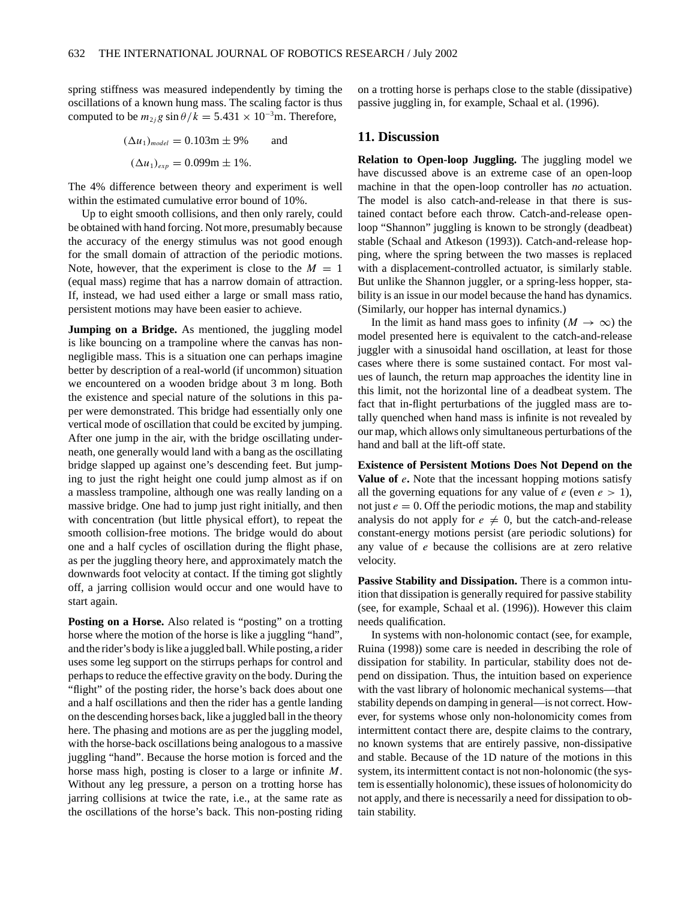spring stiffness was measured independently by timing the oscillations of a known hung mass. The scaling factor is thus computed to be  $m_{2j}g \sin \theta / k = 5.431 \times 10^{-3} \text{m}$ . Therefore,

$$
(\Delta u_1)_{model} = 0.103m \pm 9\%
$$
 and  
 $(\Delta u_1)_{exp} = 0.099m \pm 1\%$ .

The 4% difference between theory and experiment is well within the estimated cumulative error bound of 10%.

Up to eight smooth collisions, and then only rarely, could be obtained with hand forcing. Not more, presumably because the accuracy of the energy stimulus was not good enough for the small domain of attraction of the periodic motions. Note, however, that the experiment is close to the  $M = 1$ (equal mass) regime that has a narrow domain of attraction. If, instead, we had used either a large or small mass ratio, persistent motions may have been easier to achieve.

**Jumping on a Bridge.** As mentioned, the juggling model is like bouncing on a trampoline where the canvas has nonnegligible mass. This is a situation one can perhaps imagine better by description of a real-world (if uncommon) situation we encountered on a wooden bridge about 3 m long. Both the existence and special nature of the solutions in this paper were demonstrated. This bridge had essentially only one vertical mode of oscillation that could be excited by jumping. After one jump in the air, with the bridge oscillating underneath, one generally would land with a bang as the oscillating bridge slapped up against one's descending feet. But jumping to just the right height one could jump almost as if on a massless trampoline, although one was really landing on a massive bridge. One had to jump just right initially, and then with concentration (but little physical effort), to repeat the smooth collision-free motions. The bridge would do about one and a half cycles of oscillation during the flight phase, as per the juggling theory here, and approximately match the downwards foot velocity at contact. If the timing got slightly off, a jarring collision would occur and one would have to start again.

Posting on a Horse. Also related is "posting" on a trotting horse where the motion of the horse is like a juggling "hand", and the rider's body is like a juggled ball. While posting, a rider uses some leg support on the stirrups perhaps for control and perhaps to reduce the effective gravity on the body. During the "flight" of the posting rider, the horse's back does about one and a half oscillations and then the rider has a gentle landing on the descending horses back, like a juggled ball in the theory here. The phasing and motions are as per the juggling model, with the horse-back oscillations being analogous to a massive juggling "hand". Because the horse motion is forced and the horse mass high, posting is closer to a large or infinite M. Without any leg pressure, a person on a trotting horse has jarring collisions at twice the rate, i.e., at the same rate as the oscillations of the horse's back. This non-posting riding on a trotting horse is perhaps close to the stable (dissipative) passive juggling in, for example, Schaal et al. (1996).

## **11. Discussion**

**Relation to Open-loop Juggling.** The juggling model we have discussed above is an extreme case of an open-loop machine in that the open-loop controller has *no* actuation. The model is also catch-and-release in that there is sustained contact before each throw. Catch-and-release openloop "Shannon" juggling is known to be strongly (deadbeat) stable (Schaal and Atkeson (1993)). Catch-and-release hopping, where the spring between the two masses is replaced with a displacement-controlled actuator, is similarly stable. But unlike the Shannon juggler, or a spring-less hopper, stability is an issue in our model because the hand has dynamics. (Similarly, our hopper has internal dynamics.)

In the limit as hand mass goes to infinity ( $M \to \infty$ ) the model presented here is equivalent to the catch-and-release juggler with a sinusoidal hand oscillation, at least for those cases where there is some sustained contact. For most values of launch, the return map approaches the identity line in this limit, not the horizontal line of a deadbeat system. The fact that in-flight perturbations of the juggled mass are totally quenched when hand mass is infinite is not revealed by our map, which allows only simultaneous perturbations of the hand and ball at the lift-off state.

**Existence of Persistent Motions Does Not Depend on the Value of** e. Note that the incessant hopping motions satisfy all the governing equations for any value of  $e$  (even  $e > 1$ ), not just  $e = 0$ . Off the periodic motions, the map and stability analysis do not apply for  $e \neq 0$ , but the catch-and-release constant-energy motions persist (are periodic solutions) for any value of e because the collisions are at zero relative velocity.

**Passive Stability and Dissipation.** There is a common intuition that dissipation is generally required for passive stability (see, for example, Schaal et al. (1996)). However this claim needs qualification.

In systems with non-holonomic contact (see, for example, Ruina (1998)) some care is needed in describing the role of dissipation for stability. In particular, stability does not depend on dissipation. Thus, the intuition based on experience with the vast library of holonomic mechanical systems—that stability depends on damping in general—is not correct. However, for systems whose only non-holonomicity comes from intermittent contact there are, despite claims to the contrary, no known systems that are entirely passive, non-dissipative and stable. Because of the 1D nature of the motions in this system, its intermittent contact is not non-holonomic (the system is essentially holonomic), these issues of holonomicity do not apply, and there is necessarily a need for dissipation to obtain stability.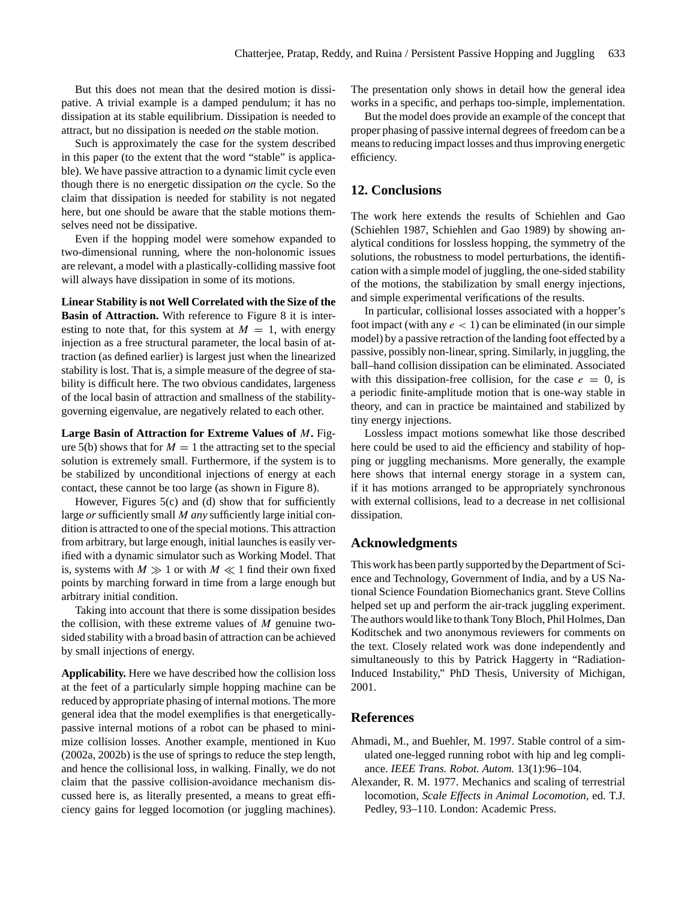But this does not mean that the desired motion is dissipative. A trivial example is a damped pendulum; it has no dissipation at its stable equilibrium. Dissipation is needed to attract, but no dissipation is needed *on* the stable motion.

Such is approximately the case for the system described in this paper (to the extent that the word "stable" is applicable). We have passive attraction to a dynamic limit cycle even though there is no energetic dissipation *on* the cycle. So the claim that dissipation is needed for stability is not negated here, but one should be aware that the stable motions themselves need not be dissipative.

Even if the hopping model were somehow expanded to two-dimensional running, where the non-holonomic issues are relevant, a model with a plastically-colliding massive foot will always have dissipation in some of its motions.

**Linear Stability is not Well Correlated with the Size of the Basin of Attraction.** With reference to Figure 8 it is interesting to note that, for this system at  $M = 1$ , with energy injection as a free structural parameter, the local basin of attraction (as defined earlier) is largest just when the linearized stability is lost. That is, a simple measure of the degree of stability is difficult here. The two obvious candidates, largeness of the local basin of attraction and smallness of the stabilitygoverning eigenvalue, are negatively related to each other.

**Large Basin of Attraction for Extreme Values of** M**.** Figure 5(b) shows that for  $M = 1$  the attracting set to the special solution is extremely small. Furthermore, if the system is to be stabilized by unconditional injections of energy at each contact, these cannot be too large (as shown in Figure 8).

However, Figures  $5(c)$  and (d) show that for sufficiently large *or*sufficiently small M *any* sufficiently large initial condition is attracted to one of the special motions. This attraction from arbitrary, but large enough, initial launches is easily verified with a dynamic simulator such as Working Model. That is, systems with  $M \gg 1$  or with  $M \ll 1$  find their own fixed points by marching forward in time from a large enough but arbitrary initial condition.

Taking into account that there is some dissipation besides the collision, with these extreme values of  $M$  genuine twosided stability with a broad basin of attraction can be achieved by small injections of energy.

**Applicability.** Here we have described how the collision loss at the feet of a particularly simple hopping machine can be reduced by appropriate phasing of internal motions. The more general idea that the model exemplifies is that energeticallypassive internal motions of a robot can be phased to minimize collision losses. Another example, mentioned in Kuo (2002a, 2002b) is the use of springs to reduce the step length, and hence the collisional loss, in walking. Finally, we do not claim that the passive collision-avoidance mechanism discussed here is, as literally presented, a means to great efficiency gains for legged locomotion (or juggling machines). The presentation only shows in detail how the general idea works in a specific, and perhaps too-simple, implementation.

But the model does provide an example of the concept that proper phasing of passive internal degrees of freedom can be a means to reducing impact losses and thus improving energetic efficiency.

## **12. Conclusions**

The work here extends the results of Schiehlen and Gao (Schiehlen 1987, Schiehlen and Gao 1989) by showing analytical conditions for lossless hopping, the symmetry of the solutions, the robustness to model perturbations, the identification with a simple model of juggling, the one-sided stability of the motions, the stabilization by small energy injections, and simple experimental verifications of the results.

In particular, collisional losses associated with a hopper's foot impact (with any  $e < 1$ ) can be eliminated (in our simple model) by a passive retraction of the landing foot effected by a passive, possibly non-linear, spring. Similarly, in juggling, the ball–hand collision dissipation can be eliminated. Associated with this dissipation-free collision, for the case  $e = 0$ , is a periodic finite-amplitude motion that is one-way stable in theory, and can in practice be maintained and stabilized by tiny energy injections.

Lossless impact motions somewhat like those described here could be used to aid the efficiency and stability of hopping or juggling mechanisms. More generally, the example here shows that internal energy storage in a system can, if it has motions arranged to be appropriately synchronous with external collisions, lead to a decrease in net collisional dissipation.

## **Acknowledgments**

This work has been partly supported by the Department of Science and Technology, Government of India, and by a US National Science Foundation Biomechanics grant. Steve Collins helped set up and perform the air-track juggling experiment. The authors would like to thank Tony Bloch, Phil Holmes, Dan Koditschek and two anonymous reviewers for comments on the text. Closely related work was done independently and simultaneously to this by Patrick Haggerty in "Radiation-Induced Instability," PhD Thesis, University of Michigan, 2001.

#### **References**

- Ahmadi, M., and Buehler, M. 1997. Stable control of a simulated one-legged running robot with hip and leg compliance. *IEEE Trans. Robot. Autom.* 13(1):96–104.
- Alexander, R. M. 1977. Mechanics and scaling of terrestrial locomotion, *Scale Effects in Animal Locomotion*, ed. T.J. Pedley, 93–110. London: Academic Press.